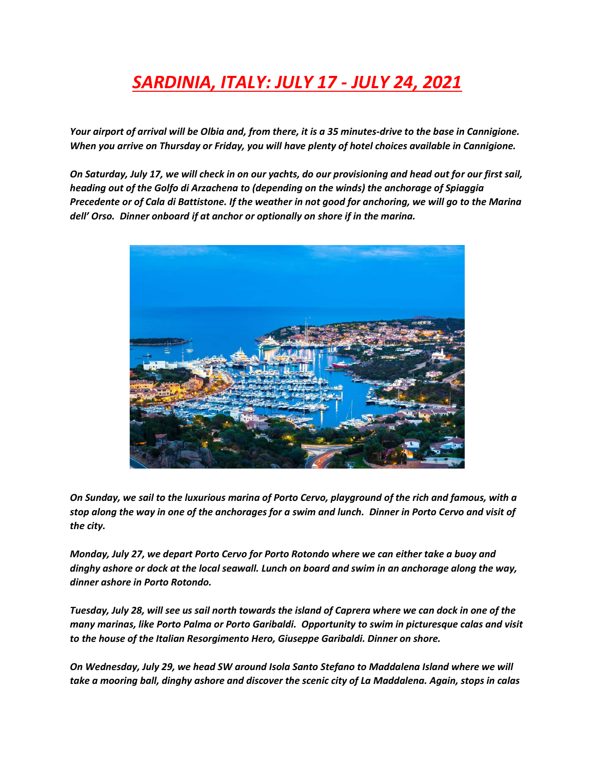## *SARDINIA, ITALY: JULY 17 - JULY 24, 2021*

*Your airport of arrival will be Olbia and, from there, it is a 35 minutes-drive to the base in Cannigione. When you arrive on Thursday or Friday, you will have plenty of hotel choices available in Cannigione.*

*On Saturday, July 17, we will check in on our yachts, do our provisioning and head out for our first sail, heading out of the Golfo di Arzachena to (depending on the winds) the anchorage of Spiaggia Precedente or of Cala di Battistone. If the weather in not good for anchoring, we will go to the Marina dell' Orso. Dinner onboard if at anchor or optionally on shore if in the marina.*



*On Sunday, we sail to the luxurious marina of Porto Cervo, playground of the rich and famous, with a stop along the way in one of the anchorages for a swim and lunch. Dinner in Porto Cervo and visit of the city.*

*Monday, July 27, we depart Porto Cervo for Porto Rotondo where we can either take a buoy and dinghy ashore or dock at the local seawall. Lunch on board and swim in an anchorage along the way, dinner ashore in Porto Rotondo.*

*Tuesday, July 28, will see us sail north towards the island of Caprera where we can dock in one of the many marinas, like Porto Palma or Porto Garibaldi. Opportunity to swim in picturesque calas and visit to the house of the Italian Resorgimento Hero, Giuseppe Garibaldi. Dinner on shore.*

*On Wednesday, July 29, we head SW around Isola Santo Stefano to Maddalena Island where we will take a mooring ball, dinghy ashore and discover the scenic city of La Maddalena. Again, stops in calas*